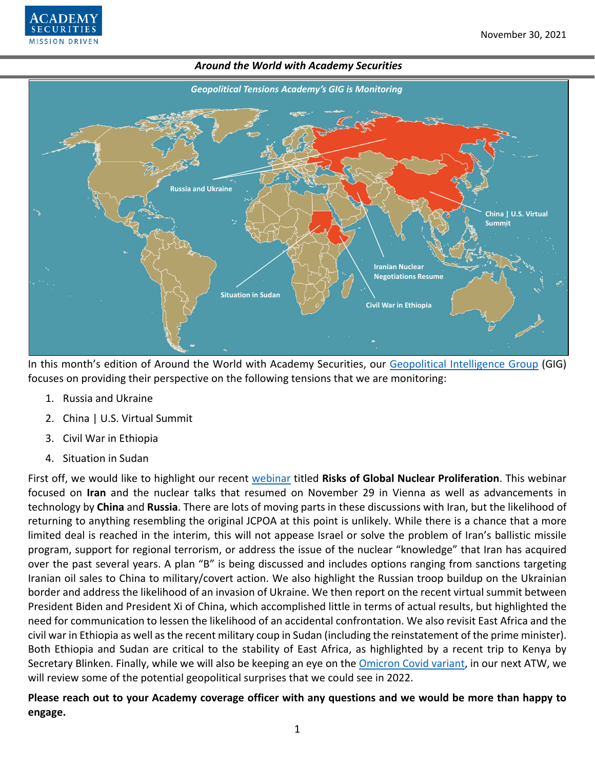



In this month's edition of Around the World with Academy Securities, our [Geopolitical Intelligence Group](https://www.academysecurities.com/geopolitical/geopolitical-intelligence-group/) (GIG) focuses on providing their perspective on the following tensions that we are monitoring:

- 1. Russia and Ukraine
- 2. China | U.S. Virtual Summit
- 3. Civil War in Ethiopia
- 4. Situation in Sudan

First off, we would like to highlight our recent [webinar](https://www.youtube.com/watch?v=2q5DltN_WCY) titled **Risks of Global Nuclear Proliferation**. This webinar focused on **Iran** and the nuclear talks that resumed on November 29 in Vienna as well as advancements in technology by **China** and **Russia**. There are lots of moving parts in these discussions with Iran, but the likelihood of returning to anything resembling the original JCPOA at this point is unlikely. While there is a chance that a more limited deal is reached in the interim, this will not appease Israel or solve the problem of Iran's ballistic missile program, support for regional terrorism, or address the issue of the nuclear "knowledge" that Iran has acquired over the past several years. A plan "B" is being discussed and includes options ranging from sanctions targeting Iranian oil sales to China to military/covert action. We also highlight the Russian troop buildup on the Ukrainian border and address the likelihood of an invasion of Ukraine. We then report on the recent virtual summit between President Biden and President Xi of China, which accomplished little in terms of actual results, but highlighted the need for communication to lessen the likelihood of an accidental confrontation. We also revisit East Africa and the civil war in Ethiopia as well as the recent military coup in Sudan (including the reinstatement of the prime minister). Both Ethiopia and Sudan are critical to the stability of East Africa, as highlighted by a recent trip to Kenya by Secretary Blinken. Finally, while we will also be keeping an eye on the [Omicron Covid variant,](https://www.academysecurities.com/wordpress/wp-content/uploads/2021/11/Delta-Gamma-Omicron.pdf) in our next ATW, we will review some of the potential geopolitical surprises that we could see in 2022.

**Please reach out to your Academy coverage officer with any questions and we would be more than happy to engage.**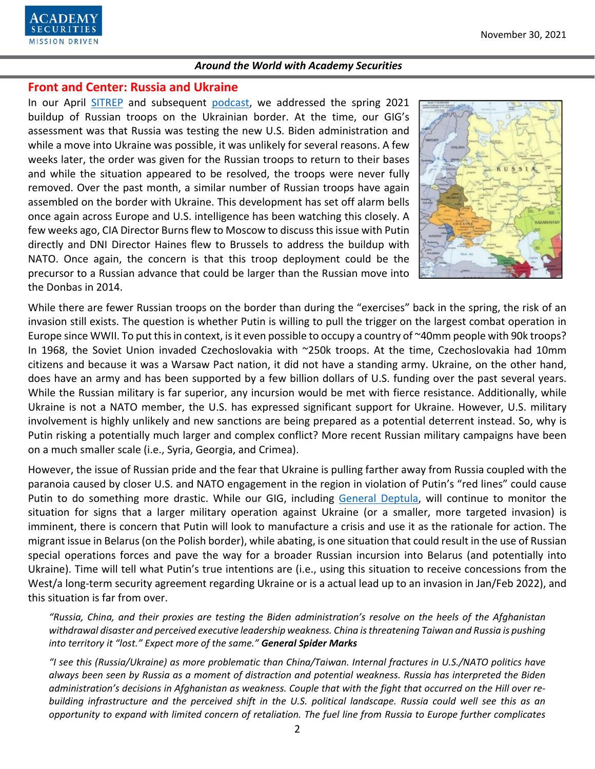

## **Front and Center: Russia and Ukraine**

In our April [SITREP](https://www.academysecurities.com/russian-troop-increase-on-the-ukrainian-border/) and subsequent [podcast,](https://www.academysecurities.com/russian-troop-increase-on-ukrainian-border/) we addressed the spring 2021 buildup of Russian troops on the Ukrainian border. At the time, our GIG's assessment was that Russia was testing the new U.S. Biden administration and while a move into Ukraine was possible, it was unlikely for several reasons. A few weeks later, the order was given for the Russian troops to return to their bases and while the situation appeared to be resolved, the troops were never fully removed. Over the past month, a similar number of Russian troops have again assembled on the border with Ukraine. This development has set off alarm bells once again across Europe and U.S. intelligence has been watching this closely. A few weeks ago, CIA Director Burns flew to Moscow to discuss this issue with Putin directly and DNI Director Haines flew to Brussels to address the buildup with NATO. Once again, the concern is that this troop deployment could be the precursor to a Russian advance that could be larger than the Russian move into the Donbas in 2014.



While there are fewer Russian troops on the border than during the "exercises" back in the spring, the risk of an invasion still exists. The question is whether Putin is willing to pull the trigger on the largest combat operation in Europe since WWII. To put this in context, is it even possible to occupy a country of ~40mm people with 90k troops? In 1968, the Soviet Union invaded Czechoslovakia with ~250k troops. At the time, Czechoslovakia had 10mm citizens and because it was a Warsaw Pact nation, it did not have a standing army. Ukraine, on the other hand, does have an army and has been supported by a few billion dollars of U.S. funding over the past several years. While the Russian military is far superior, any incursion would be met with fierce resistance. Additionally, while Ukraine is not a NATO member, the U.S. has expressed significant support for Ukraine. However, U.S. military involvement is highly unlikely and new sanctions are being prepared as a potential deterrent instead. So, why is Putin risking a potentially much larger and complex conflict? More recent Russian military campaigns have been on a much smaller scale (i.e., Syria, Georgia, and Crimea).

However, the issue of Russian pride and the fear that Ukraine is pulling farther away from Russia coupled with the paranoia caused by closer U.S. and NATO engagement in the region in violation of Putin's "red lines" could cause Putin to do something more drastic. While our GIG, including [General Deptula,](https://video.foxnews.com/v/6284103678001#sp=show-clips) will continue to monitor the situation for signs that a larger military operation against Ukraine (or a smaller, more targeted invasion) is imminent, there is concern that Putin will look to manufacture a crisis and use it as the rationale for action. The migrant issue in Belarus (on the Polish border), while abating, is one situation that could result in the use of Russian special operations forces and pave the way for a broader Russian incursion into Belarus (and potentially into Ukraine). Time will tell what Putin's true intentions are (i.e., using this situation to receive concessions from the West/a long-term security agreement regarding Ukraine or is a actual lead up to an invasion in Jan/Feb 2022), and this situation is far from over.

*"Russia, China, and their proxies are testing the Biden administration's resolve on the heels of the Afghanistan withdrawal disaster and perceived executive leadership weakness. China isthreatening Taiwan and Russia is pushing into territory it "lost." Expect more of the same." General Spider Marks*

*"I see this (Russia/Ukraine) as more problematic than China/Taiwan. Internal fractures in U.S./NATO politics have always been seen by Russia as a moment of distraction and potential weakness. Russia has interpreted the Biden administration's decisions in Afghanistan as weakness. Couple that with the fight that occurred on the Hill over rebuilding infrastructure and the perceived shift in the U.S. political landscape. Russia could well see this as an opportunity to expand with limited concern of retaliation. The fuel line from Russia to Europe further complicates*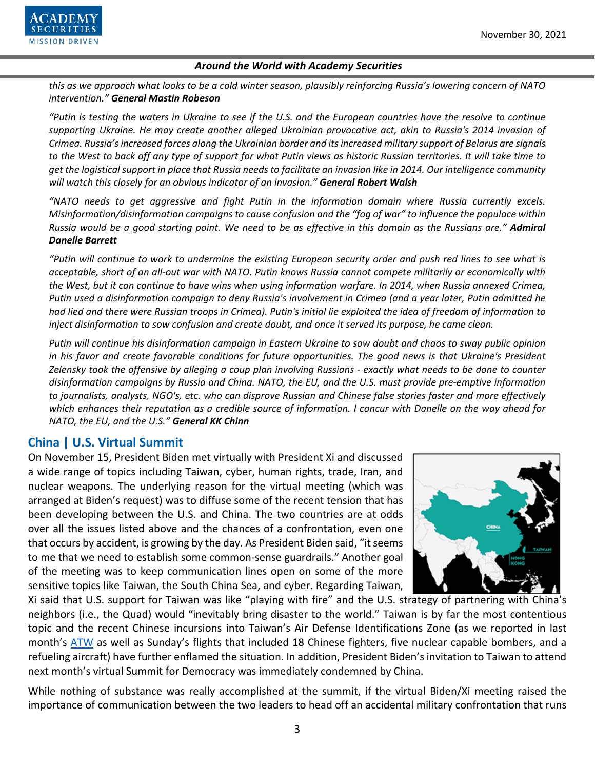

*this as we approach what looks to be a cold winter season, plausibly reinforcing Russia's lowering concern of NATO intervention." General Mastin Robeson*

*"Putin is testing the waters in Ukraine to see if the U.S. and the European countries have the resolve to continue supporting Ukraine. He may create another alleged Ukrainian provocative act, akin to Russia's 2014 invasion of Crimea. Russia's increased forces along the Ukrainian border and its increased military support of Belarus are signals to the West to back off any type of support for what Putin views as historic Russian territories. It will take time to get the logistical support in place that Russia needs to facilitate an invasion like in 2014. Our intelligence community will watch this closely for an obvious indicator of an invasion." General Robert Walsh*

*"NATO needs to get aggressive and fight Putin in the information domain where Russia currently excels. Misinformation/disinformation campaigns to cause confusion and the "fog of war" to influence the populace within Russia would be a good starting point. We need to be as effective in this domain as the Russians are." Admiral Danelle Barrett*

*"Putin will continue to work to undermine the existing European security order and push red lines to see what is acceptable, short of an all-out war with NATO. Putin knows Russia cannot compete militarily or economically with the West, but it can continue to have wins when using information warfare. In 2014, when Russia annexed Crimea, Putin used a disinformation campaign to deny Russia's involvement in Crimea (and a year later, Putin admitted he had lied and there were Russian troops in Crimea). Putin's initial lie exploited the idea of freedom of information to inject disinformation to sow confusion and create doubt, and once it served its purpose, he came clean.*

*Putin will continue his disinformation campaign in Eastern Ukraine to sow doubt and chaos to sway public opinion in his favor and create favorable conditions for future opportunities. The good news is that Ukraine's President Zelensky took the offensive by alleging a coup plan involving Russians - exactly what needs to be done to counter disinformation campaigns by Russia and China. NATO, the EU, and the U.S. must provide pre-emptive information to journalists, analysts, NGO's, etc. who can disprove Russian and Chinese false stories faster and more effectively which enhances their reputation as a credible source of information. I concur with Danelle on the way ahead for NATO, the EU, and the U.S." General KK Chinn*

# **China | U.S. Virtual Summit**

On November 15, President Biden met virtually with President Xi and discussed a wide range of topics including Taiwan, cyber, human rights, trade, Iran, and nuclear weapons. The underlying reason for the virtual meeting (which was arranged at Biden's request) was to diffuse some of the recent tension that has been developing between the U.S. and China. The two countries are at odds over all the issues listed above and the chances of a confrontation, even one that occurs by accident, is growing by the day. As President Biden said, "it seems to me that we need to establish some common-sense guardrails." Another goal of the meeting was to keep communication lines open on some of the more sensitive topics like Taiwan, the South China Sea, and cyber. Regarding Taiwan,



Xi said that U.S. support for Taiwan was like "playing with fire" and the U.S. strategy of partnering with China's neighbors (i.e., the Quad) would "inevitably bring disaster to the world." Taiwan is by far the most contentious topic and the recent Chinese incursions into Taiwan's Air Defense Identifications Zone (as we reported in last month's [ATW](https://www.academysecurities.com/wordpress/wp-content/uploads/2021/10/Around-the-World-with-Academy-Securities_10_27_21.pdf) as well as Sunday's flights that included 18 Chinese fighters, five nuclear capable bombers, and a refueling aircraft) have further enflamed the situation. In addition, President Biden's invitation to Taiwan to attend next month's virtual Summit for Democracy was immediately condemned by China.

While nothing of substance was really accomplished at the summit, if the virtual Biden/Xi meeting raised the importance of communication between the two leaders to head off an accidental military confrontation that runs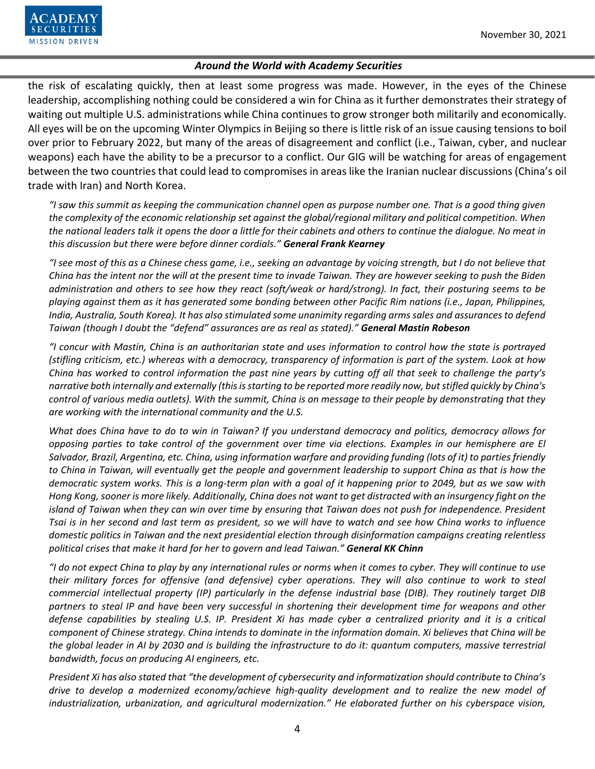

the risk of escalating quickly, then at least some progress was made. However, in the eyes of the Chinese leadership, accomplishing nothing could be considered a win for China as it further demonstrates their strategy of waiting out multiple U.S. administrations while China continues to grow stronger both militarily and economically. All eyes will be on the upcoming Winter Olympics in Beijing so there is little risk of an issue causing tensions to boil over prior to February 2022, but many of the areas of disagreement and conflict (i.e., Taiwan, cyber, and nuclear weapons) each have the ability to be a precursor to a conflict. Our GIG will be watching for areas of engagement between the two countries that could lead to compromises in areas like the Iranian nuclear discussions (China's oil trade with Iran) and North Korea.

*"I saw this summit as keeping the communication channel open as purpose number one. That is a good thing given the complexity of the economic relationship set against the global/regional military and political competition. When the national leaders talk it opens the door a little for their cabinets and others to continue the dialogue. No meat in this discussion but there were before dinner cordials." General Frank Kearney*

*"I see most of this as a Chinese chess game, i.e., seeking an advantage by voicing strength, but I do not believe that China has the intent nor the will at the present time to invade Taiwan. They are however seeking to push the Biden administration and others to see how they react (soft/weak or hard/strong). In fact, their posturing seems to be playing against them as it has generated some bonding between other Pacific Rim nations (i.e., Japan, Philippines, India, Australia, South Korea). It has also stimulated some unanimity regarding arms sales and assurances to defend Taiwan (though I doubt the "defend" assurances are as real as stated)." General Mastin Robeson*

*"I concur with Mastin, China is an authoritarian state and uses information to control how the state is portrayed (stifling criticism, etc.) whereas with a democracy, transparency of information is part of the system. Look at how China has worked to control information the past nine years by cutting off all that seek to challenge the party's narrative both internally and externally (this is starting to be reported more readily now, but stifled quickly by China's control of various media outlets). With the summit, China is on message to their people by demonstrating that they are working with the international community and the U.S.* 

*What does China have to do to win in Taiwan? If you understand democracy and politics, democracy allows for opposing parties to take control of the government over time via elections. Examples in our hemisphere are El Salvador, Brazil, Argentina, etc. China, using information warfare and providing funding (lots of it) to parties friendly to China in Taiwan, will eventually get the people and government leadership to support China as that is how the democratic system works. This is a long-term plan with a goal of it happening prior to 2049, but as we saw with Hong Kong, sooner is more likely. Additionally, China does not want to get distracted with an insurgency fight on the island of Taiwan when they can win over time by ensuring that Taiwan does not push for independence. President Tsai is in her second and last term as president, so we will have to watch and see how China works to influence domestic politics in Taiwan and the next presidential election through disinformation campaigns creating relentless political crises that make it hard for her to govern and lead Taiwan." General KK Chinn*

*"I do not expect China to play by any international rules or norms when it comes to cyber. They will continue to use their military forces for offensive (and defensive) cyber operations. They will also continue to work to steal commercial intellectual property (IP) particularly in the defense industrial base (DIB). They routinely target DIB partners to steal IP and have been very successful in shortening their development time for weapons and other defense capabilities by stealing U.S. IP. President Xi has made cyber a centralized priority and it is a critical component of Chinese strategy. China intends to dominate in the information domain. Xi believes that China will be the global leader in AI by 2030 and is building the infrastructure to do it: quantum computers, massive terrestrial bandwidth, focus on producing AI engineers, etc.*

*President Xi has also stated that "the development of cybersecurity and informatization should contribute to China's drive to develop a modernized economy/achieve high-quality development and to realize the new model of industrialization, urbanization, and agricultural modernization." He elaborated further on his cyberspace vision,*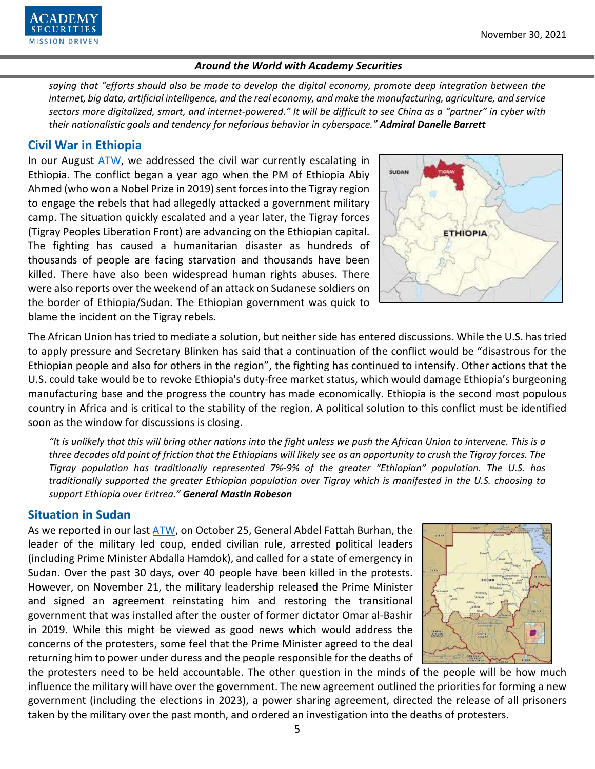

*saying that "efforts should also be made to develop the digital economy, promote deep integration between the internet, big data, artificial intelligence, and the real economy, and make the manufacturing, agriculture, and service sectors more digitalized, smart, and internet-powered." It will be difficult to see China as a "partner" in cyber with their nationalistic goals and tendency for nefarious behavior in cyberspace." Admiral Danelle Barrett*

### **Civil War in Ethiopia**

In our August [ATW,](https://www.academysecurities.com/wordpress/wp-content/uploads/2021/08/Around-the-World-with-Academy-Securities_8_30_21-2.pdf) we addressed the civil war currently escalating in Ethiopia. The conflict began a year ago when the PM of Ethiopia Abiy Ahmed (who won a Nobel Prize in 2019) sent forces into the Tigray region to engage the rebels that had allegedly attacked a government military camp. The situation quickly escalated and a year later, the Tigray forces (Tigray Peoples Liberation Front) are advancing on the Ethiopian capital. The fighting has caused a humanitarian disaster as hundreds of thousands of people are facing starvation and thousands have been killed. There have also been widespread human rights abuses. There were also reports over the weekend of an attack on Sudanese soldiers on the border of Ethiopia/Sudan. The Ethiopian government was quick to blame the incident on the Tigray rebels.



The African Union has tried to mediate a solution, but neither side has entered discussions. While the U.S. has tried to apply pressure and Secretary Blinken has said that a continuation of the conflict would be "disastrous for the Ethiopian people and also for others in the region", the fighting has continued to intensify. Other actions that the U.S. could take would be to revoke Ethiopia's duty-free market status, which would damage Ethiopia's burgeoning manufacturing base and the progress the country has made economically. Ethiopia is the second most populous country in Africa and is critical to the stability of the region. A political solution to this conflict must be identified soon as the window for discussions is closing.

*"It is unlikely that this will bring other nations into the fight unless we push the African Union to intervene. This is a three decades old point of friction that the Ethiopians will likely see as an opportunity to crush the Tigray forces. The Tigray population has traditionally represented 7%-9% of the greater "Ethiopian" population. The U.S. has traditionally supported the greater Ethiopian population over Tigray which is manifested in the U.S. choosing to support Ethiopia over Eritrea." General Mastin Robeson*

### **Situation in Sudan**

As we reported in our last [ATW,](https://www.academysecurities.com/wordpress/wp-content/uploads/2021/10/Around-the-World-with-Academy-Securities_10_27_21.pdf) on October 25, General Abdel Fattah Burhan, the leader of the military led coup, ended civilian rule, arrested political leaders (including Prime Minister Abdalla Hamdok), and called for a state of emergency in Sudan. Over the past 30 days, over 40 people have been killed in the protests. However, on November 21, the military leadership released the Prime Minister and signed an agreement reinstating him and restoring the transitional government that was installed after the ouster of former dictator Omar al-Bashir in 2019. While this might be viewed as good news which would address the concerns of the protesters, some feel that the Prime Minister agreed to the deal returning him to power under duress and the people responsible for the deaths of



the protesters need to be held accountable. The other question in the minds of the people will be how much influence the military will have over the government. The new agreement outlined the priorities for forming a new government (including the elections in 2023), a power sharing agreement, directed the release of all prisoners taken by the military over the past month, and ordered an investigation into the deaths of protesters.